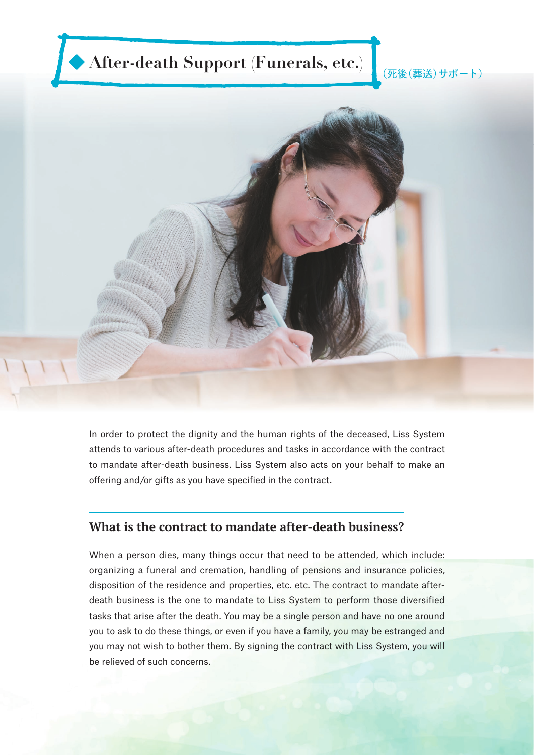# ◆ After-death Support (Funerals, etc.) <sub>(死後(葬送)サポート)</sub>



In order to protect the dignity and the human rights of the deceased, Liss System attends to various after-death procedures and tasks in accordance with the contract to mandate after-death business. Liss System also acts on your behalf to make an offering and/or gifts as you have specified in the contract.

## **What is the contract to mandate after-death business?**

When a person dies, many things occur that need to be attended, which include: organizing a funeral and cremation, handling of pensions and insurance policies, disposition of the residence and properties, etc. etc. The contract to mandate afterdeath business is the one to mandate to Liss System to perform those diversified tasks that arise after the death. You may be a single person and have no one around you to ask to do these things, or even if you have a family, you may be estranged and you may not wish to bother them. By signing the contract with Liss System, you will be relieved of such concerns.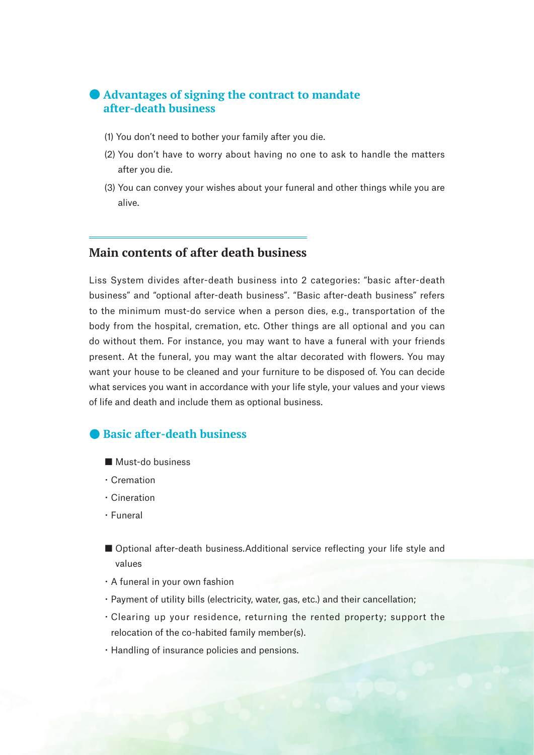## ● **Advantages of signing the contract to mandate after-death business**

- (1) You don't need to bother your family after you die.
- (2) You don't have to worry about having no one to ask to handle the matters after you die.
- (3) You can convey your wishes about your funeral and other things while you are alive.

# **Main contents of after death business**

Liss System divides after-death business into 2 categories: "basic after-death business" and "optional after-death business". "Basic after-death business" refers to the minimum must-do service when a person dies, e.g., transportation of the body from the hospital, cremation, etc. Other things are all optional and you can do without them. For instance, you may want to have a funeral with your friends present. At the funeral, you may want the altar decorated with flowers. You may want your house to be cleaned and your furniture to be disposed of. You can decide what services you want in accordance with your life style, your values and your views of life and death and include them as optional business.

## ● **Basic after-death business**

- Must-do business
- ・Cremation
- ・Cineration
- ・Funeral
- Optional after-death business.Additional service reflecting your life style and values
- ・A funeral in your own fashion
- ・Payment of utility bills (electricity, water, gas, etc.) and their cancellation;
- ・Clearing up your residence, returning the rented property; support the relocation of the co-habited family member(s).
- ・Handling of insurance policies and pensions.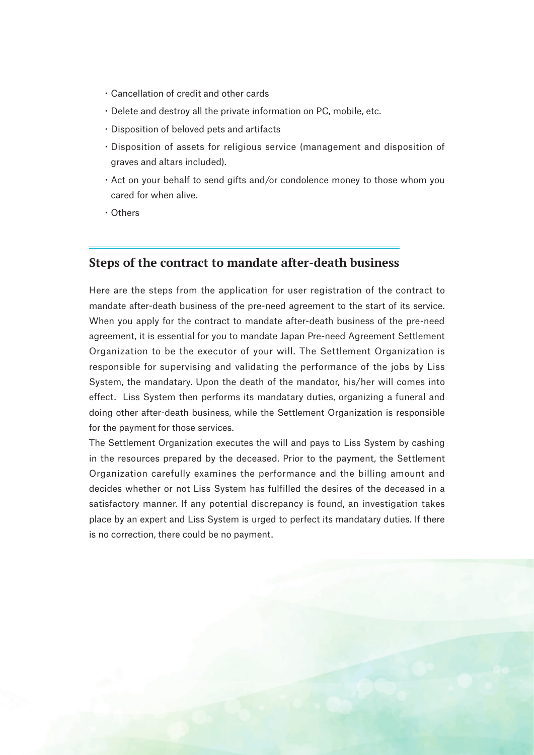- ・Cancellation of credit and other cards
- ・Delete and destroy all the private information on PC, mobile, etc.
- ・Disposition of beloved pets and artifacts
- ・Disposition of assets for religious service (management and disposition of graves and altars included).
- ・Act on your behalf to send gifts and/or condolence money to those whom you cared for when alive.
- ・Others

#### **Steps of the contract to mandate after-death business**

Here are the steps from the application for user registration of the contract to mandate after-death business of the pre-need agreement to the start of its service. When you apply for the contract to mandate after-death business of the pre-need agreement, it is essential for you to mandate Japan Pre-need Agreement Settlement Organization to be the executor of your will. The Settlement Organization is responsible for supervising and validating the performance of the jobs by Liss System, the mandatary. Upon the death of the mandator, his/her will comes into effect. Liss System then performs its mandatary duties, organizing a funeral and doing other after-death business, while the Settlement Organization is responsible for the payment for those services.

The Settlement Organization executes the will and pays to Liss System by cashing in the resources prepared by the deceased. Prior to the payment, the Settlement Organization carefully examines the performance and the billing amount and decides whether or not Liss System has fulfilled the desires of the deceased in a satisfactory manner. If any potential discrepancy is found, an investigation takes place by an expert and Liss System is urged to perfect its mandatary duties. If there is no correction, there could be no payment.